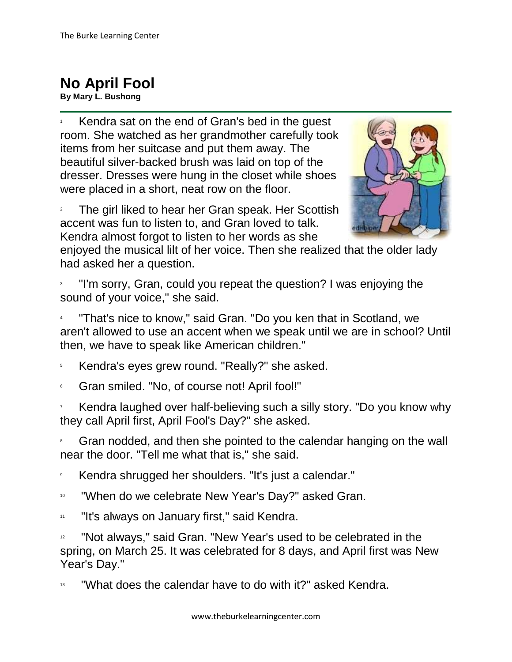## **No April Fool**

**By Mary L. Bushong**

1 Kendra sat on the end of Gran's bed in the guest room. She watched as her grandmother carefully took items from her suitcase and put them away. The beautiful silver-backed brush was laid on top of the dresser. Dresses were hung in the closet while shoes were placed in a short, neat row on the floor.

2 The girl liked to hear her Gran speak. Her Scottish accent was fun to listen to, and Gran loved to talk. Kendra almost forgot to listen to her words as she



enjoyed the musical lilt of her voice. Then she realized that the older lady had asked her a question.

3 "I'm sorry, Gran, could you repeat the question? I was enjoying the sound of your voice," she said.

4 "That's nice to know," said Gran. "Do you ken that in Scotland, we aren't allowed to use an accent when we speak until we are in school? Until then, we have to speak like American children."

- 5 Kendra's eyes grew round. "Really?" she asked.
- 6 Gran smiled. "No, of course not! April fool!"

7 Kendra laughed over half-believing such a silly story. "Do you know why they call April first, April Fool's Day?" she asked.

8 Gran nodded, and then she pointed to the calendar hanging on the wall near the door. "Tell me what that is," she said.

9 Kendra shrugged her shoulders. "It's just a calendar."

- 10 "When do we celebrate New Year's Day?" asked Gran.
- 11 "It's always on January first," said Kendra.

12 "Not always," said Gran. "New Year's used to be celebrated in the spring, on March 25. It was celebrated for 8 days, and April first was New Year's Day."

13 "What does the calendar have to do with it?" asked Kendra.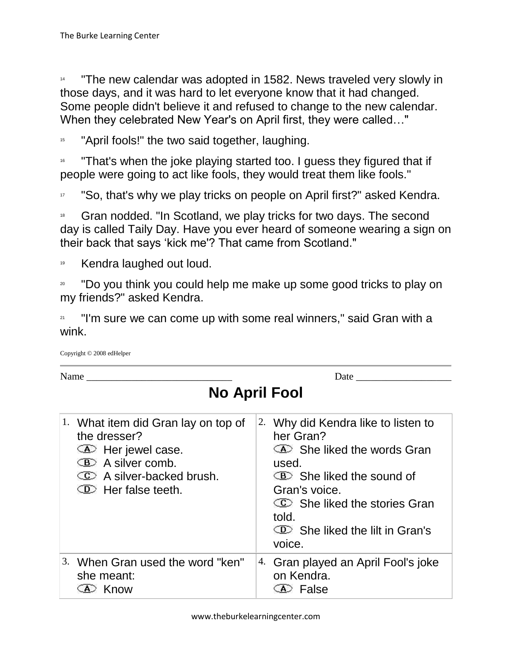14 "The new calendar was adopted in 1582. News traveled very slowly in those days, and it was hard to let everyone know that it had changed. Some people didn't believe it and refused to change to the new calendar. When they celebrated New Year's on April first, they were called…"

15 "April fools!" the two said together, laughing.

16 "That's when the joke playing started too. I guess they figured that if people were going to act like fools, they would treat them like fools."

17 "So, that's why we play tricks on people on April first?" asked Kendra.

18 Gran nodded. "In Scotland, we play tricks for two days. The second day is called Taily Day. Have you ever heard of someone wearing a sign on their back that says 'kick me'? That came from Scotland."

19 Kendra laughed out loud.

 $20$  "Do you think you could help me make up some good tricks to play on my friends?" asked Kendra.

21 "I'm sure we can come up with some real winners," said Gran with a wink.

**No April Fool**

Copyright © 2008 edHelper

Name \_\_\_\_\_\_\_\_\_\_\_\_\_\_\_\_\_\_\_\_\_\_\_\_\_\_\_\_\_ Date \_\_\_\_\_\_\_\_\_\_\_\_\_\_\_\_\_\_\_

| 1. What item did Gran lay on top of<br>the dresser?<br>CAD Her jewel case.<br><b>E</b> A silver comb.<br><b>C</b> A silver-backed brush.<br><b>I</b> Her false teeth. | 2. Why did Kendra like to listen to<br>her Gran?<br><b>E</b> She liked the words Gran<br>used.<br><b>E</b> She liked the sound of<br>Gran's voice.<br><b>C</b> She liked the stories Gran<br>told.<br><b>I</b> She liked the lilt in Gran's<br>voice. |
|-----------------------------------------------------------------------------------------------------------------------------------------------------------------------|-------------------------------------------------------------------------------------------------------------------------------------------------------------------------------------------------------------------------------------------------------|
| 3. When Gran used the word "ken"<br>she meant:<br>ር≜ି Know                                                                                                            | 4. Gran played an April Fool's joke<br>on Kendra.<br>False                                                                                                                                                                                            |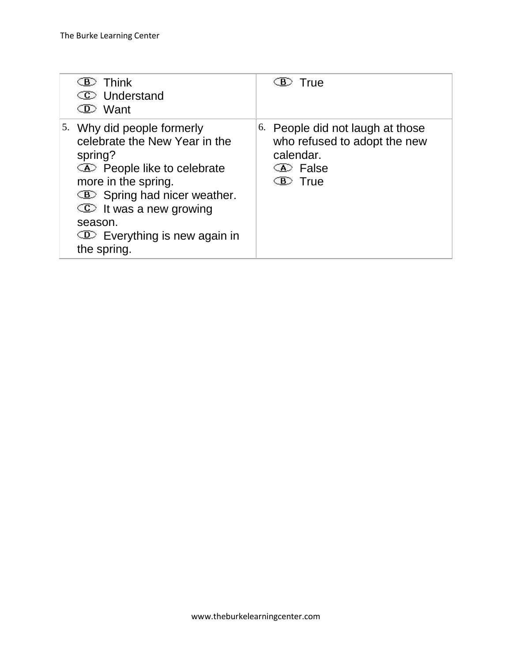| <b>E</b> Think<br><b>C</b> Understand<br>◯ Want                                                                                                                                                                                                                                     | <b>ED</b> True                                                                                                              |
|-------------------------------------------------------------------------------------------------------------------------------------------------------------------------------------------------------------------------------------------------------------------------------------|-----------------------------------------------------------------------------------------------------------------------------|
| 5. Why did people formerly<br>celebrate the New Year in the<br>spring?<br><b>EXPEDIA</b> People like to celebrate<br>more in the spring.<br><b>E</b> Spring had nicer weather.<br>$\circled{C}$ It was a new growing<br>season.<br><b>Exerything is new again in</b><br>the spring. | <sup>6.</sup> People did not laugh at those<br>who refused to adopt the new<br>calendar.<br><b>A</b> False<br><b>E</b> True |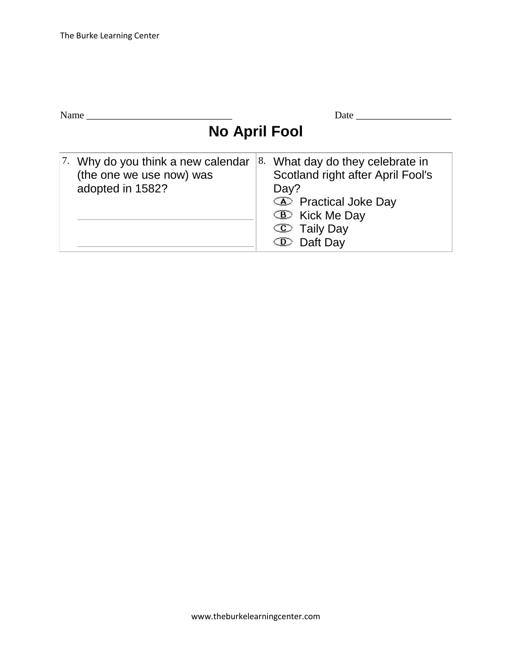| Name                                                                               | Date                                                                                                                                                                                     |  |  |  |  |
|------------------------------------------------------------------------------------|------------------------------------------------------------------------------------------------------------------------------------------------------------------------------------------|--|--|--|--|
| <b>No April Fool</b>                                                               |                                                                                                                                                                                          |  |  |  |  |
| 7. Why do you think a new calendar<br>(the one we use now) was<br>adopted in 1582? | 8. What day do they celebrate in<br>Scotland right after April Fool's<br>Day?<br><b>Example 2</b> Practical Joke Day<br><b>E</b> Kick Me Day<br><b>C</b> Taily Day<br><b>ID</b> Daft Day |  |  |  |  |